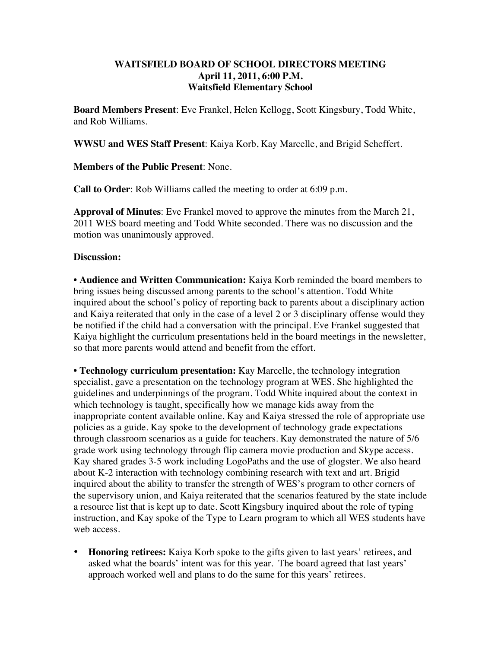## **WAITSFIELD BOARD OF SCHOOL DIRECTORS MEETING April 11, 2011, 6:00 P.M. Waitsfield Elementary School**

**Board Members Present**: Eve Frankel, Helen Kellogg, Scott Kingsbury, Todd White, and Rob Williams.

**WWSU and WES Staff Present**: Kaiya Korb, Kay Marcelle, and Brigid Scheffert.

**Members of the Public Present**: None.

**Call to Order**: Rob Williams called the meeting to order at 6:09 p.m.

**Approval of Minutes**: Eve Frankel moved to approve the minutes from the March 21, 2011 WES board meeting and Todd White seconded. There was no discussion and the motion was unanimously approved.

## **Discussion:**

• **Audience and Written Communication:** Kaiya Korb reminded the board members to bring issues being discussed among parents to the school's attention. Todd White inquired about the school's policy of reporting back to parents about a disciplinary action and Kaiya reiterated that only in the case of a level 2 or 3 disciplinary offense would they be notified if the child had a conversation with the principal. Eve Frankel suggested that Kaiya highlight the curriculum presentations held in the board meetings in the newsletter, so that more parents would attend and benefit from the effort.

• **Technology curriculum presentation:** Kay Marcelle, the technology integration specialist, gave a presentation on the technology program at WES. She highlighted the guidelines and underpinnings of the program. Todd White inquired about the context in which technology is taught, specifically how we manage kids away from the inappropriate content available online. Kay and Kaiya stressed the role of appropriate use policies as a guide. Kay spoke to the development of technology grade expectations through classroom scenarios as a guide for teachers. Kay demonstrated the nature of 5/6 grade work using technology through flip camera movie production and Skype access. Kay shared grades 3-5 work including LogoPaths and the use of glogster. We also heard about K-2 interaction with technology combining research with text and art. Brigid inquired about the ability to transfer the strength of WES's program to other corners of the supervisory union, and Kaiya reiterated that the scenarios featured by the state include a resource list that is kept up to date. Scott Kingsbury inquired about the role of typing instruction, and Kay spoke of the Type to Learn program to which all WES students have web access.

• **Honoring retirees:** Kaiya Korb spoke to the gifts given to last years' retirees, and asked what the boards' intent was for this year. The board agreed that last years' approach worked well and plans to do the same for this years' retirees.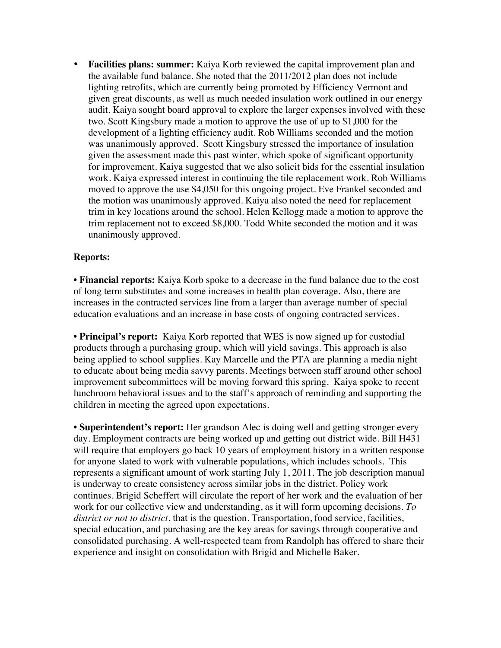• **Facilities plans: summer:** Kaiya Korb reviewed the capital improvement plan and the available fund balance. She noted that the 2011/2012 plan does not include lighting retrofits, which are currently being promoted by Efficiency Vermont and given great discounts, as well as much needed insulation work outlined in our energy audit. Kaiya sought board approval to explore the larger expenses involved with these two. Scott Kingsbury made a motion to approve the use of up to \$1,000 for the development of a lighting efficiency audit. Rob Williams seconded and the motion was unanimously approved. Scott Kingsbury stressed the importance of insulation given the assessment made this past winter, which spoke of significant opportunity for improvement. Kaiya suggested that we also solicit bids for the essential insulation work. Kaiya expressed interest in continuing the tile replacement work. Rob Williams moved to approve the use \$4,050 for this ongoing project. Eve Frankel seconded and the motion was unanimously approved. Kaiya also noted the need for replacement trim in key locations around the school. Helen Kellogg made a motion to approve the trim replacement not to exceed \$8,000. Todd White seconded the motion and it was unanimously approved.

## **Reports:**

• **Financial reports:** Kaiya Korb spoke to a decrease in the fund balance due to the cost of long term substitutes and some increases in health plan coverage. Also, there are increases in the contracted services line from a larger than average number of special education evaluations and an increase in base costs of ongoing contracted services.

• **Principal's report:** Kaiya Korb reported that WES is now signed up for custodial products through a purchasing group, which will yield savings. This approach is also being applied to school supplies. Kay Marcelle and the PTA are planning a media night to educate about being media savvy parents. Meetings between staff around other school improvement subcommittees will be moving forward this spring. Kaiya spoke to recent lunchroom behavioral issues and to the staff's approach of reminding and supporting the children in meeting the agreed upon expectations.

• **Superintendent's report:** Her grandson Alec is doing well and getting stronger every day. Employment contracts are being worked up and getting out district wide. Bill H431 will require that employers go back 10 years of employment history in a written response for anyone slated to work with vulnerable populations, which includes schools. This represents a significant amount of work starting July 1, 2011. The job description manual is underway to create consistency across similar jobs in the district. Policy work continues. Brigid Scheffert will circulate the report of her work and the evaluation of her work for our collective view and understanding, as it will form upcoming decisions. *To district or not to district*, that is the question. Transportation, food service, facilities, special education, and purchasing are the key areas for savings through cooperative and consolidated purchasing. A well-respected team from Randolph has offered to share their experience and insight on consolidation with Brigid and Michelle Baker.